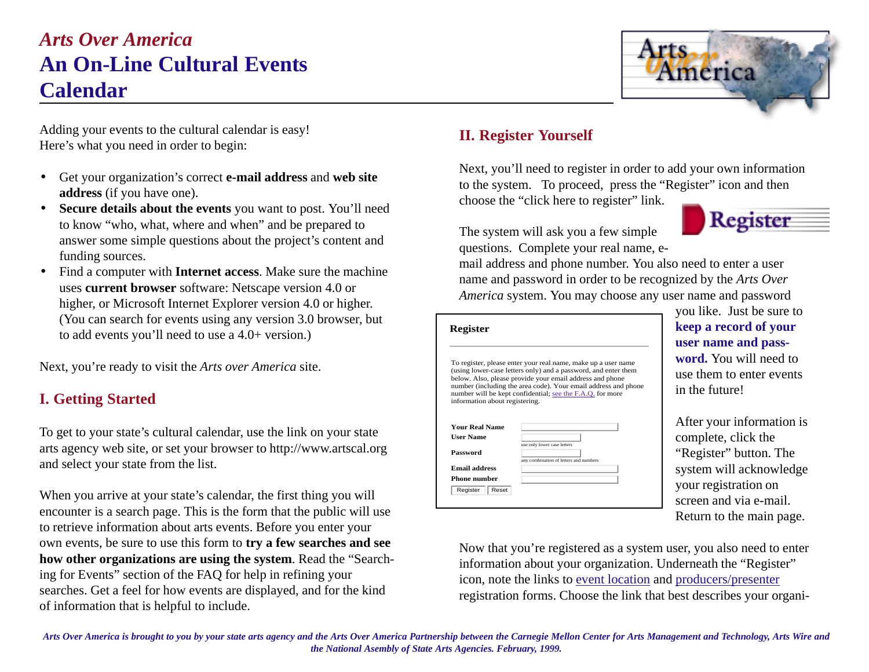# *Arts Over America* **An On-Line Cultural Events Calendar**



Adding your events to the cultural calendar is easy! Here's what you need in order to begin:

- Get your organization's correct **e-mail address** and **web site address** (if you have one).
- **Secure details about the events** you want to post. You'll need to know "who, what, where and when" and be prepared to answer some simple questions about the project's content and funding sources.
- Find a computer with **Internet access**. Make sure the machine uses **current browser** software: Netscape version 4.0 or higher, or Microsoft Internet Explorer version 4.0 or higher. (You can search for events using any version 3.0 browser, but to add events you'll need to use a 4.0+ version.)

Next, you're ready to visit the *Arts over America* site.

## **I. Getting Started**

To get to your state's cultural calendar, use the link on your state arts agency web site, or set your browser to http://www.artscal.org and select your state from the list.

When you arrive at your state's calendar, the first thing you will encounter is a search page. This is the form that the public will use to retrieve information about arts events. Before you enter your own events, be sure to use this form to **try a few searches and see how other organizations are using the system**. Read the "Searching for Events" section of the FAQ for help in refining your searches. Get a feel for how events are displayed, and for the kind of information that is helpful to include.

### **II. Register Yourself**

Next, you'll need to register in order to add your own information to the system. To proceed, press the "Register" icon and then choose the "click here to register" link.

The system will ask you a few simple questions. Complete your real name, e-

Register

mail address and phone number. You also need to enter a user name and password in order to be recognized by the *Arts Over America* system. You may choose any user name and password

#### **Register**

To register, please enter your real name, make up a user name (using lower-case letters only) and a password, and enter them below. Also, please provide your email address and phone number (including the area code). Your email address and phone number will be kept confidential; see the F.A.Q. for more information about registering. **Your Real Name** 

| <b>User Name</b>     |                                                                       |
|----------------------|-----------------------------------------------------------------------|
| Password             | use only lower case letters<br>any combination of letters and numbers |
| <b>Email address</b> |                                                                       |
| <b>Phone number</b>  |                                                                       |
| Register<br>Reset    |                                                                       |

you like. Just be sure to **keep a record of your user name and password.** You will need to use them to enter events in the future!

After your information is complete, click the "Register" button. The system will acknowledge your registration on screen and via e-mail. Return to the main page.

Now that you're registered as a system user, you also need to enter information about your organization. Underneath the "Register" icon, note the links to event location and producers/presenter registration forms. Choose the link that best describes your organi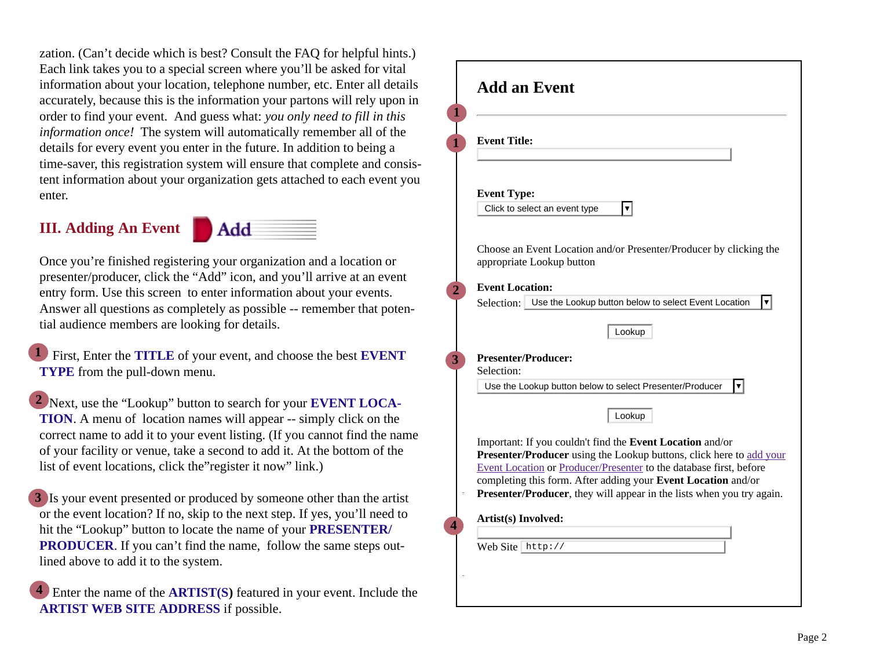zation. (Can't decide which is best? Consult the FAQ for helpful hints.) Each link takes you to a special screen where you'll be asked for vital information about your location, telephone number, etc. Enter all details accurately, because this is the information your partons will rely upon in order to find your event. And guess what: *you only need to fill in this information once!* The system will automatically remember all of the details for every event you enter in the future. In addition to being a time-saver, this registration system will ensure that complete and consistent information about your organization gets attached to each event you enter.

### **III. Adding An Event**



Once you're finished registering your organization and a location or presenter/producer, click the "Add" icon, and you'll arrive at an event entry form. Use this screen to enter information about your events. Answer all questions as completely as possible -- remember that potential audience members are looking for details.

 First, Enter the **TITLE** of your event, and choose the best **EVENT TYPE** from the pull-down menu. **1**

 Next, use the "Lookup" button to search for your **EVENT LOCA-2 TION**. A menu of location names will appear -- simply click on the correct name to add it to your event listing. (If you cannot find the name of your facility or venue, take a second to add it. At the bottom of the list of event locations, click the"register it now" link.)

 Is your event presented or produced by someone other than the artist **3** or the event location? If no, skip to the next step. If yes, you'll need to hit the "Lookup" button to locate the name of your **PRESENTER/ PRODUCER.** If you can't find the name, follow the same steps outlined above to add it to the system.

 Enter the name of the **ARTIST(S)** featured in your event. Include the **ARTIST WEB SITE ADDRESS** if possible. **4**

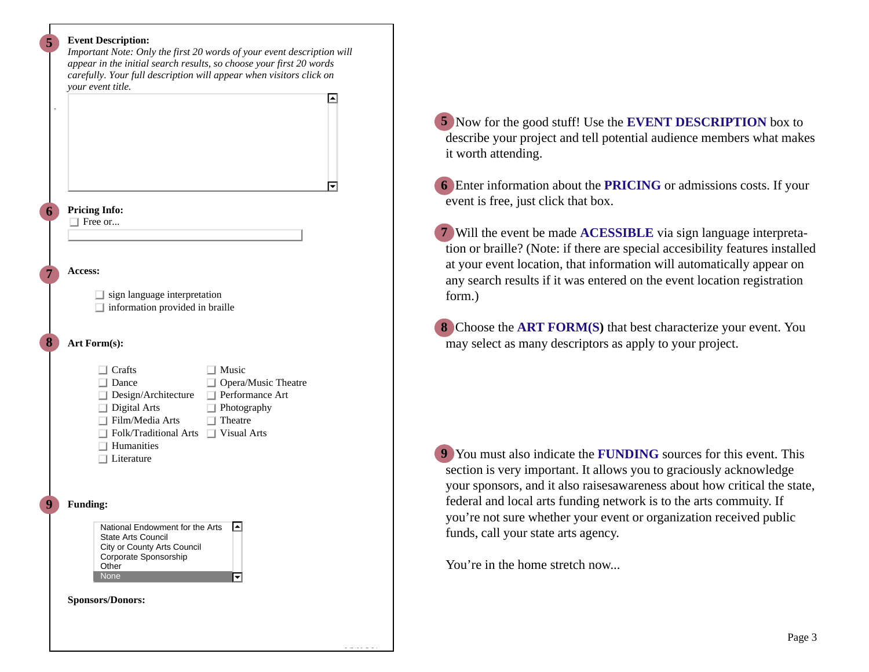#### **Event Description:**

**5**

**6**

**7**

**8**

**9**

*Important Note: Only the first 20 words of your event description will appear in the initial search results, so choose your first 20 words carefully. Your full description will appear when visitors click on your event title.* ⊡

**Pricing Info:**

□ Free or...

**Access:**

 $\Box$  sign language interpretation

 $\Box$  information provided in braille

#### **Art Form(s):**

|                 | Crafts<br>Dance<br>Design/Architecture<br>Digital Arts<br>Film/Media Arts<br>Folk/Traditional Arts □ Visual Arts<br>Humanities<br>Literature                     | Music<br>$\Box$ Opera/Music Theatre<br>$\Box$ Performance Art<br>Photography<br>$\sqcap$ Theatre |
|-----------------|------------------------------------------------------------------------------------------------------------------------------------------------------------------|--------------------------------------------------------------------------------------------------|
| <b>Funding:</b> | National Endowment for the Arts<br>State Arts Council<br>City or County Arts Council<br>Corporate Sponsorship<br>Other<br><b>None</b><br><b>Sponsors/Donors:</b> |                                                                                                  |

 Now for the good stuff! Use the **EVENT DESCRIPTION** box to **5** describe your project and tell potential audience members what makes it worth attending.

 Enter information about the **PRICING** or admissions costs. If your **6** event is free, just click that box.

 Will the event be made **ACESSIBLE** via sign language interpreta-**7** tion or braille? (Note: if there are special accesibility features installed at your event location, that information will automatically appear on any search results if it was entered on the event location registration form.)

 Choose the **ART FORM(S)** that best characterize your event. You **8** may select as many descriptors as apply to your project.

 You must also indicate the **FUNDING** sources for this event. This **9** section is very important. It allows you to graciously acknowledge your sponsors, and it also raisesawareness about how critical the state, federal and local arts funding network is to the arts commuity. If you're not sure whether your event or organization received public funds, call your state arts agency.

You're in the home stretch now...

<u>2/5/99 5 21</u>

।न